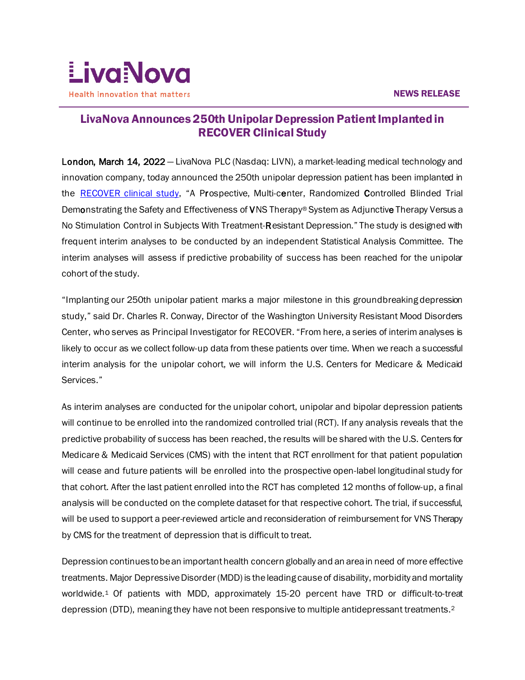

# $\overline{a}$ LivaNova Announces 250th Unipolar Depression Patient Implanted in RECOVER Clinical Study

London, March 14, 2022 – LivaNova PLC (Nasdaq: LIVN), a market-leading medical technology and innovation company, today announced the 250th unipolar depression patient has been implanted in the [RECOVER clinical study,](https://clinicaltrials.gov/ct2/show/NCT03887715?term=RECOVER&recrs=ab&cond=Depression&draw=2&rank=2) "A Prospective, Multi-center, Randomized Controlled Blinded Trial Demonstrating the Safety and Effectiveness of VNS Therapy® System as Adjunctive Therapy Versus a No Stimulation Control in Subjects With Treatment-Resistant Depression." The study is designed with frequent interim analyses to be conducted by an independent Statistical Analysis Committee. The interim analyses will assess if predictive probability of success has been reached for the unipolar cohort of the study.

"Implanting our 250th unipolar patient marks a major milestone in this groundbreaking depression study," said Dr. Charles R. Conway, Director of the Washington University Resistant Mood Disorders Center, who serves as Principal Investigator for RECOVER. "From here, a series of interim analyses is likely to occur as we collect follow-up data from these patients over time. When we reach a successful interim analysis for the unipolar cohort, we will inform the U.S. Centers for Medicare & Medicaid Services."

As interim analyses are conducted for the unipolar cohort, unipolar and bipolar depression patients will continue to be enrolled into the randomized controlled trial (RCT). If any analysis reveals that the predictive probability of success has been reached, the results will be shared with the U.S. Centers for Medicare & Medicaid Services (CMS) with the intent that RCT enrollment for that patient population will cease and future patients will be enrolled into the prospective open-label longitudinal study for that cohort. After the last patient enrolled into the RCT has completed 12 months of follow-up, a final analysis will be conducted on the complete dataset for that respective cohort. The trial, if successful, will be used to support a peer-reviewed article and reconsideration of reimbursement for VNS Therapy by CMS for the treatment of depression that is difficult to treat.

Depression continues to be an important health concern globally and an area in need of more effective treatments. Major Depressive Disorder (MDD) is the leading cause of disability, morbidity and mortality worldwide.<sup>1</sup> Of patients with MDD, approximately 15-20 percent have TRD or difficult-to-treat depression (DTD), meaning they have not been responsive to multiple antidepressant treatments.2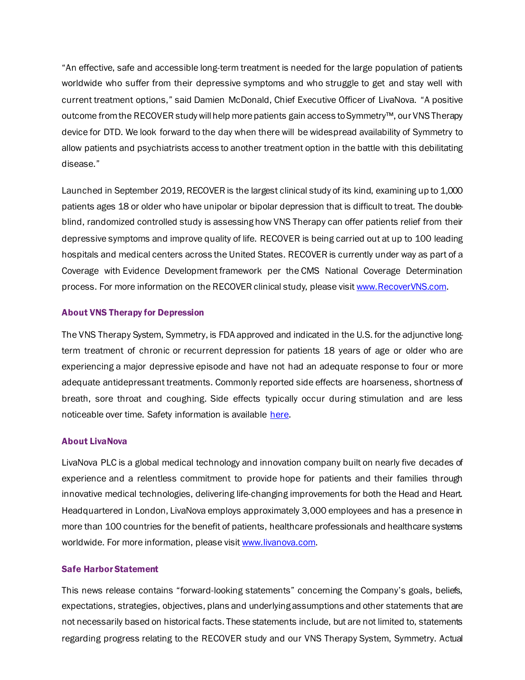"An effective, safe and accessible long-term treatment is needed for the large population of patients worldwide who suffer from their depressive symptoms and who struggle to get and stay well with current treatment options," said Damien McDonald, Chief Executive Officer of LivaNova. "A positive outcome fromthe RECOVER study will help more patients gain access to Symmetry™, our VNS Therapy device for DTD. We look forward to the day when there will be widespread availability of Symmetry to allow patients and psychiatrists access to another treatment option in the battle with this debilitating disease."

Launched in September 2019, RECOVER is the largest clinical study of its kind, examining up to 1,000 patients ages 18 or older who have unipolar or bipolar depression that is difficult to treat. The doubleblind, randomized controlled study is assessing how VNS Therapy can offer patients relief from their depressive symptoms and improve quality of life. RECOVER is being carried out at up to 100 leading hospitals and medical centers across the United States. RECOVER is currently under way as part of a Coverage with Evidence Development framework per the CMS National Coverage Determination process. For more information on the RECOVER clinical study, please visi[t www.RecoverVNS.com.](http://www.recovervns.com/)

## About VNS Therapy for Depression

The VNS Therapy System, Symmetry, is FDA approved and indicated in the U.S. for the adjunctive longterm treatment of chronic or recurrent depression for patients 18 years of age or older who are experiencing a major depressive episode and have not had an adequate response to four or more adequate antidepressant treatments. Commonly reported side effects are hoarseness, shortness of breath, sore throat and coughing. Side effects typically occur during stimulation and are less noticeable over time. Safety information is available [here.](http://www.livanova.com/depression/en-us/safety-information)

## About LivaNova

LivaNova PLC is a global medical technology and innovation company built on nearly five decades of experience and a relentless commitment to provide hope for patients and their families through innovative medical technologies, delivering life-changing improvements for both the Head and Heart. Headquartered in London, LivaNova employs approximately 3,000 employees and has a presence in more than 100 countries for the benefit of patients, healthcare professionals and healthcare systems worldwide. For more information, please visi[t www.livanova.com.](http://www.livanova.com/)

## Safe Harbor Statement

This news release contains "forward-looking statements" concerning the Company's goals, beliefs, expectations, strategies, objectives, plans and underlying assumptions and other statements that are not necessarily based on historical facts. These statements include, but are not limited to, statements regarding progress relating to the RECOVER study and our VNS Therapy System, Symmetry. Actual